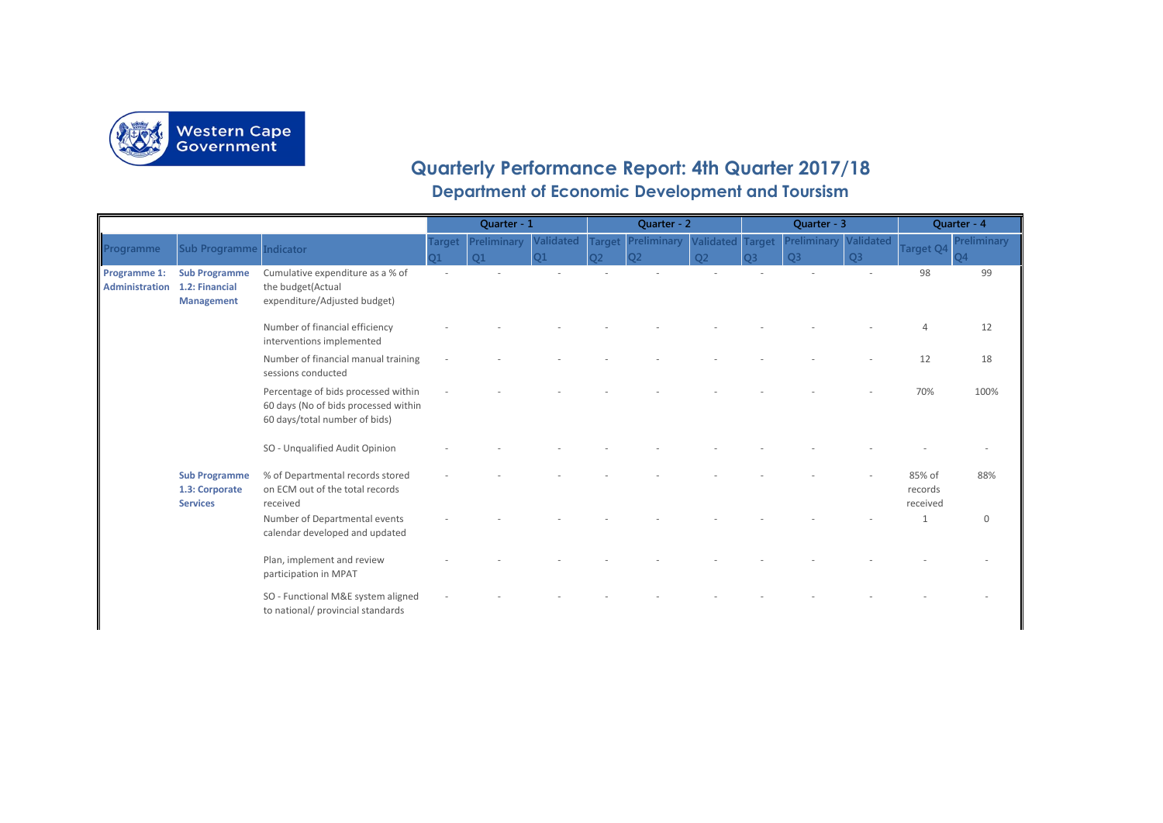

## **Quarterly Performance Report: 4th Quarter 2017/18**

**Department of Economic Development and Toursism**

|                                       |                                                             |                                                                                                              | Quarter - 1   |                    |           |        | Quarter - 2    |                         |           | Quarter - 3 | Quarter - 4    |                               |              |
|---------------------------------------|-------------------------------------------------------------|--------------------------------------------------------------------------------------------------------------|---------------|--------------------|-----------|--------|----------------|-------------------------|-----------|-------------|----------------|-------------------------------|--------------|
| Programme                             | <b>Sub Programme Indicator</b>                              |                                                                                                              | <b>Target</b> | <b>Preliminary</b> | Validated | Target | Preliminary    | <b>Validated Target</b> |           | Preliminary | Validated      | <b>Target Q4</b>              | Preliminary  |
|                                       |                                                             |                                                                                                              |               | $\Omega$ 1         | O1        | าว     | O <sub>2</sub> | $\Omega$                | <b>O3</b> | <b>O3</b>   | O <sub>3</sub> |                               | <b>O4</b>    |
| Programme 1:<br><b>Administration</b> | <b>Sub Programme</b><br>1.2: Financial<br><b>Management</b> | Cumulative expenditure as a % of<br>the budget(Actual<br>expenditure/Adjusted budget)                        |               |                    |           |        |                |                         |           |             |                | 98                            | 99           |
|                                       |                                                             | Number of financial efficiency<br>interventions implemented                                                  |               |                    |           |        |                |                         |           |             |                |                               | 12           |
|                                       |                                                             | Number of financial manual training<br>sessions conducted                                                    |               |                    |           |        |                |                         |           |             |                | 12                            | 18           |
|                                       |                                                             | Percentage of bids processed within<br>60 days (No of bids processed within<br>60 days/total number of bids) |               |                    |           |        |                |                         |           |             |                | 70%                           | 100%         |
|                                       |                                                             | SO - Unqualified Audit Opinion                                                                               |               |                    |           |        |                |                         |           |             |                |                               |              |
|                                       | <b>Sub Programme</b><br>1.3: Corporate<br><b>Services</b>   | % of Departmental records stored<br>on ECM out of the total records<br>received                              |               |                    |           |        |                |                         |           |             |                | 85% of<br>records<br>received | 88%          |
|                                       |                                                             | Number of Departmental events<br>calendar developed and updated                                              |               |                    |           |        |                |                         |           |             |                | $\mathbf{1}$                  | $\mathbf{0}$ |
|                                       |                                                             | Plan, implement and review<br>participation in MPAT                                                          |               |                    |           |        |                |                         |           |             |                |                               |              |
|                                       |                                                             | SO - Functional M&E system aligned<br>to national/ provincial standards                                      |               |                    |           |        |                |                         |           |             |                |                               |              |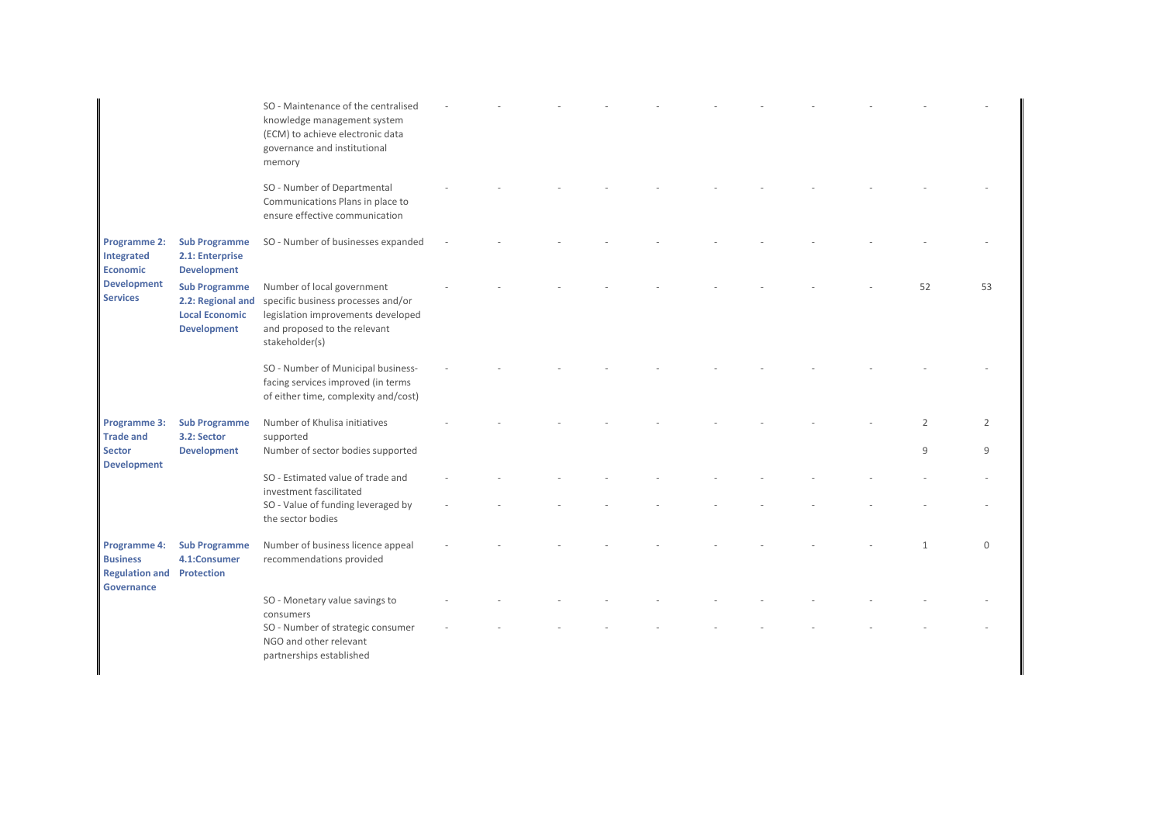|                                                                                               |                                                                                          | SO - Maintenance of the centralised<br>knowledge management system<br>(ECM) to achieve electronic data<br>governance and institutional<br>memory         |  |  |  |  |                    |          |
|-----------------------------------------------------------------------------------------------|------------------------------------------------------------------------------------------|----------------------------------------------------------------------------------------------------------------------------------------------------------|--|--|--|--|--------------------|----------|
|                                                                                               |                                                                                          | SO - Number of Departmental<br>Communications Plans in place to<br>ensure effective communication                                                        |  |  |  |  |                    |          |
| <b>Programme 2:</b><br>Integrated<br><b>Economic</b><br><b>Development</b><br><b>Services</b> | <b>Sub Programme</b><br>2.1: Enterprise<br><b>Development</b>                            | SO - Number of businesses expanded                                                                                                                       |  |  |  |  |                    |          |
|                                                                                               | <b>Sub Programme</b><br>2.2: Regional and<br><b>Local Economic</b><br><b>Development</b> | Number of local government<br>specific business processes and/or<br>legislation improvements developed<br>and proposed to the relevant<br>stakeholder(s) |  |  |  |  | 52                 | 53       |
|                                                                                               |                                                                                          | SO - Number of Municipal business-<br>facing services improved (in terms<br>of either time, complexity and/cost)                                         |  |  |  |  |                    |          |
| Programme 3:<br><b>Trade and</b><br><b>Sector</b>                                             | <b>Sub Programme</b><br>3.2: Sector<br><b>Development</b>                                | Number of Khulisa initiatives<br>supported<br>Number of sector bodies supported                                                                          |  |  |  |  | $\mathcal{P}$<br>9 | 2<br>q   |
| <b>Development</b>                                                                            |                                                                                          | SO - Estimated value of trade and<br>investment fascilitated                                                                                             |  |  |  |  |                    |          |
|                                                                                               |                                                                                          | SO - Value of funding leveraged by<br>the sector bodies                                                                                                  |  |  |  |  |                    |          |
| Programme 4:<br><b>Business</b><br><b>Regulation and Protection</b><br><b>Governance</b>      | <b>Sub Programme</b><br>4.1:Consumer                                                     | Number of business licence appeal<br>recommendations provided                                                                                            |  |  |  |  |                    | $\Omega$ |
|                                                                                               |                                                                                          | SO - Monetary value savings to<br>consumers<br>SO - Number of strategic consumer<br>NGO and other relevant<br>partnerships established                   |  |  |  |  |                    |          |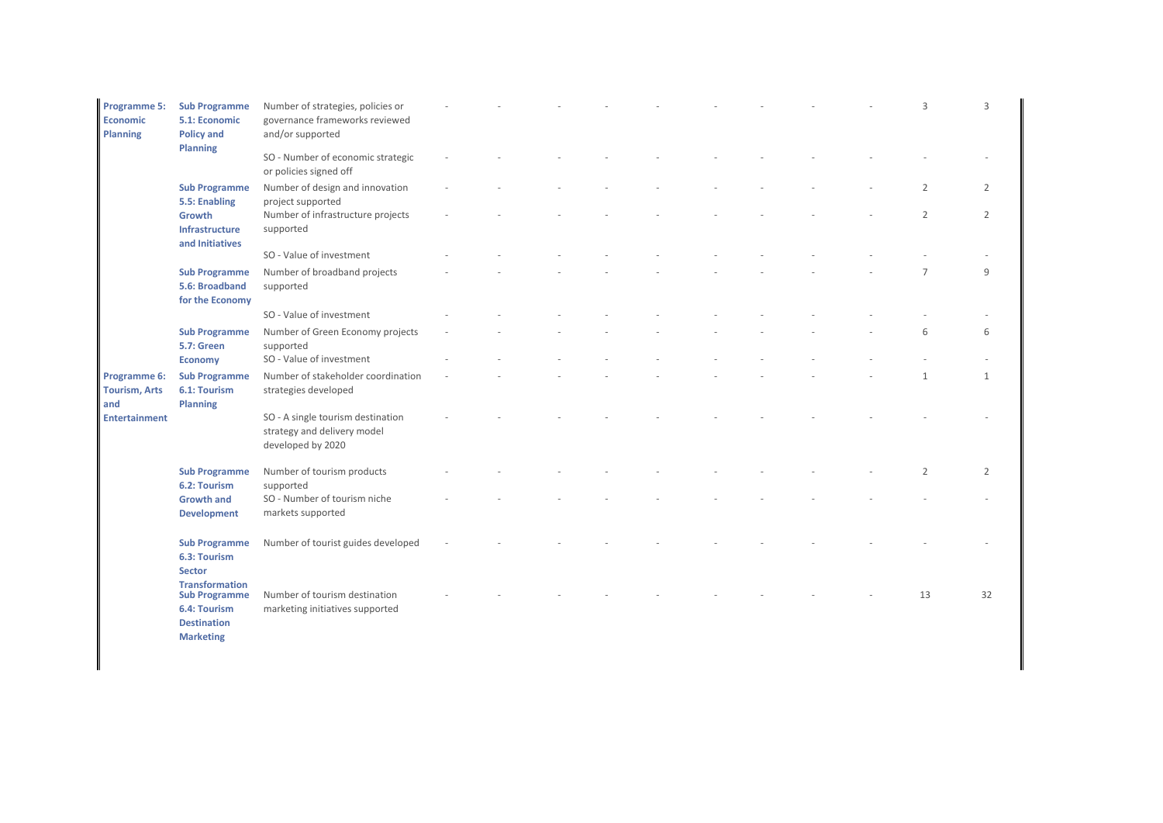| <b>Programme 5:</b><br>Economic<br><b>Planning</b> | <b>Sub Programme</b><br>5.1: Economic<br><b>Policy and</b>                                              | Number of strategies, policies or<br>governance frameworks reviewed<br>and/or supported |  |  |  |  | 3              | 3  |
|----------------------------------------------------|---------------------------------------------------------------------------------------------------------|-----------------------------------------------------------------------------------------|--|--|--|--|----------------|----|
|                                                    | Planning                                                                                                | SO - Number of economic strategic<br>or policies signed off                             |  |  |  |  |                |    |
|                                                    | <b>Sub Programme</b><br>5.5: Enabling                                                                   | Number of design and innovation<br>project supported                                    |  |  |  |  | $\overline{2}$ | 2  |
|                                                    | Growth<br>Infrastructure<br>and Initiatives                                                             | Number of infrastructure projects<br>supported                                          |  |  |  |  | $\overline{2}$ | 2  |
|                                                    |                                                                                                         | SO - Value of investment                                                                |  |  |  |  |                |    |
|                                                    | <b>Sub Programme</b><br>5.6: Broadband<br>for the Economy                                               | Number of broadband projects<br>supported                                               |  |  |  |  |                | 9  |
|                                                    |                                                                                                         | SO - Value of investment                                                                |  |  |  |  |                |    |
|                                                    | <b>Sub Programme</b><br><b>5.7: Green</b>                                                               | Number of Green Economy projects<br>supported                                           |  |  |  |  | 6              | 6  |
|                                                    | <b>Economy</b>                                                                                          | SO - Value of investment                                                                |  |  |  |  |                |    |
| Programme 6:<br><b>Tourism, Arts</b><br>and        | <b>Sub Programme</b><br>6.1: Tourism<br>Planning                                                        | Number of stakeholder coordination<br>strategies developed                              |  |  |  |  | $\mathbf{1}$   | 1  |
| <b>Entertainment</b>                               |                                                                                                         | SO - A single tourism destination<br>strategy and delivery model<br>developed by 2020   |  |  |  |  |                |    |
|                                                    | <b>Sub Programme</b><br>6.2: Tourism                                                                    | Number of tourism products<br>supported                                                 |  |  |  |  | 2              | 2  |
|                                                    | <b>Growth and</b><br><b>Development</b>                                                                 | SO - Number of tourism niche<br>markets supported                                       |  |  |  |  |                |    |
|                                                    | <b>Sub Programme</b><br>6.3: Tourism<br><b>Sector</b>                                                   | Number of tourist guides developed                                                      |  |  |  |  |                |    |
|                                                    | <b>Transformation</b><br><b>Sub Programme</b><br>6.4: Tourism<br><b>Destination</b><br><b>Marketing</b> | Number of tourism destination<br>marketing initiatives supported                        |  |  |  |  | 13             | 32 |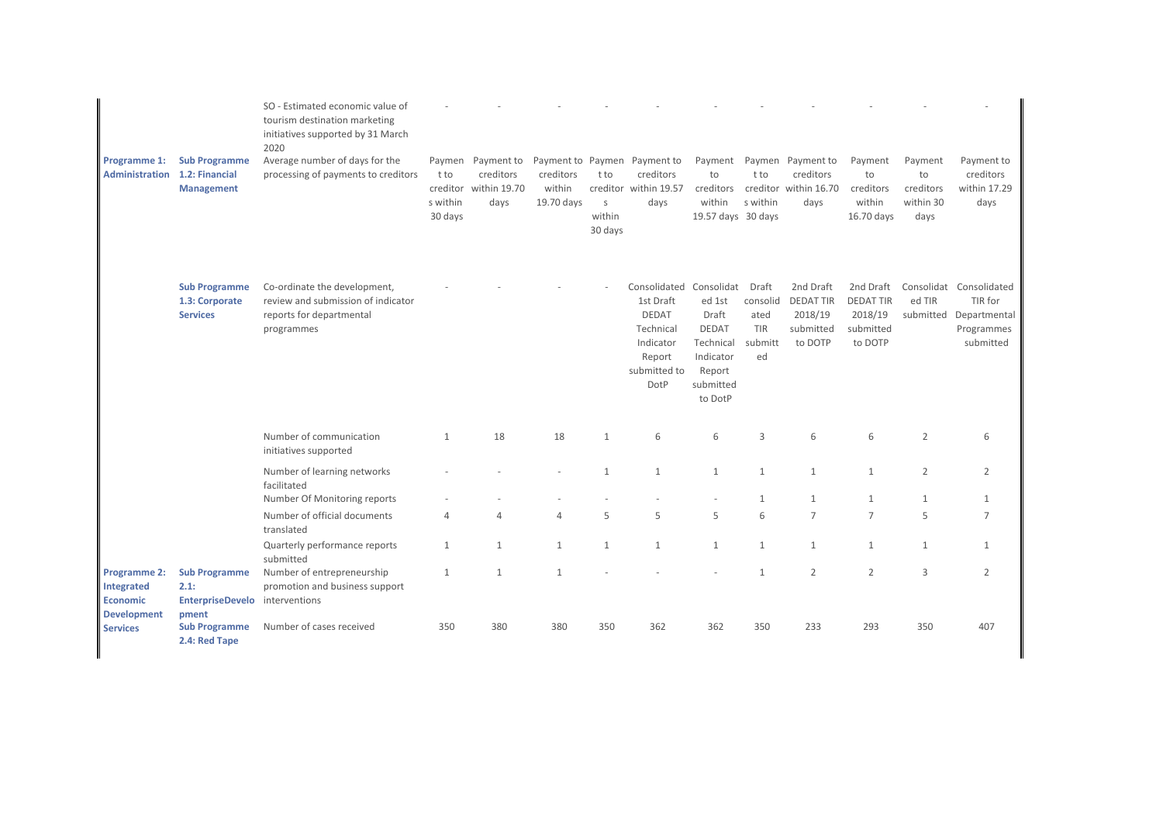|                                                                            |                                                                         | SO - Estimated economic value of<br>tourism destination marketing<br>initiatives supported by 31 March<br>2020 |                                                   |                                                 |                                   |                                      |                                                                                                       |                                                                                                           |                                                   |                                                                 |                                                                  |                                                 |                                                                               |
|----------------------------------------------------------------------------|-------------------------------------------------------------------------|----------------------------------------------------------------------------------------------------------------|---------------------------------------------------|-------------------------------------------------|-----------------------------------|--------------------------------------|-------------------------------------------------------------------------------------------------------|-----------------------------------------------------------------------------------------------------------|---------------------------------------------------|-----------------------------------------------------------------|------------------------------------------------------------------|-------------------------------------------------|-------------------------------------------------------------------------------|
| Programme 1:<br>Administration                                             | <b>Sub Programme</b><br>1.2: Financial<br><b>Management</b>             | Average number of days for the<br>processing of payments to creditors                                          | Paymen<br>t to<br>creditor<br>s within<br>30 days | Payment to<br>creditors<br>within 19.70<br>days | creditors<br>within<br>19.70 days | t to<br>$\sf S$<br>within<br>30 days | Payment to Paymen Payment to<br>creditors<br>creditor within 19.57<br>days                            | Payment<br>to<br>creditors<br>within<br>19.57 days 30 days                                                | t to<br>s within                                  | Paymen Payment to<br>creditors<br>creditor within 16.70<br>days | Payment<br>to<br>creditors<br>within<br>16.70 days               | Payment<br>to<br>creditors<br>within 30<br>days | Payment to<br>creditors<br>within 17.29<br>days                               |
|                                                                            | <b>Sub Programme</b><br>1.3: Corporate<br><b>Services</b>               | Co-ordinate the development,<br>review and submission of indicator<br>reports for departmental<br>programmes   |                                                   |                                                 |                                   |                                      | Consolidated<br>1st Draft<br><b>DEDAT</b><br>Technical<br>Indicator<br>Report<br>submitted to<br>DotP | Consolidat<br>ed 1st<br>Draft<br><b>DEDAT</b><br>Technical<br>Indicator<br>Report<br>submitted<br>to DotP | Draft<br>consolid<br>ated<br>TIR<br>submitt<br>ed | 2nd Draft<br><b>DEDATTIR</b><br>2018/19<br>submitted<br>to DOTP | 2nd Draft<br><b>DEDAT TIR</b><br>2018/19<br>submitted<br>to DOTP | ed TIR<br>submitted                             | Consolidat Consolidated<br>TIR for<br>Departmental<br>Programmes<br>submitted |
|                                                                            |                                                                         | Number of communication<br>initiatives supported                                                               | $\mathbf{1}$                                      | 18                                              | 18                                | $\mathbf{1}$                         | 6                                                                                                     | 6                                                                                                         | 3                                                 | 6                                                               | 6                                                                | $\overline{2}$                                  |                                                                               |
|                                                                            |                                                                         | Number of learning networks<br>facilitated                                                                     |                                                   |                                                 |                                   | $\mathbf{1}$                         | $\mathbf{1}$                                                                                          | $\mathbf{1}$                                                                                              | $\mathbf{1}$                                      | $\mathbf{1}$                                                    | $\mathbf{1}$                                                     | $\overline{2}$                                  | 2                                                                             |
|                                                                            |                                                                         | Number Of Monitoring reports                                                                                   |                                                   |                                                 |                                   |                                      |                                                                                                       |                                                                                                           | $\mathbf{1}$                                      | $\mathbf{1}$                                                    | $\mathbf{1}$                                                     | $\mathbf{1}$                                    |                                                                               |
|                                                                            |                                                                         | Number of official documents<br>translated                                                                     | $\overline{4}$                                    | 4                                               | $\overline{4}$                    | 5                                    | 5                                                                                                     | 5                                                                                                         | 6                                                 | $\overline{7}$                                                  | $\overline{7}$                                                   | 5                                               | $\overline{7}$                                                                |
|                                                                            |                                                                         | Quarterly performance reports<br>submitted                                                                     | $\mathbf{1}$                                      | $\mathbf{1}$                                    | $\mathbf{1}$                      | $\mathbf{1}$                         | $\mathbf{1}$                                                                                          | 1                                                                                                         | $\mathbf{1}$                                      | $\mathbf{1}$                                                    | 1                                                                | $\mathbf{1}$                                    | $\mathbf{1}$                                                                  |
| <b>Programme 2:</b><br>Integrated<br><b>Economic</b><br><b>Development</b> | <b>Sub Programme</b><br>2.1:<br>EnterpriseDevelo interventions<br>pment | Number of entrepreneurship<br>promotion and business support                                                   | $\mathbf{1}$                                      | $\mathbf{1}$                                    | $\mathbf{1}$                      |                                      |                                                                                                       |                                                                                                           | $\mathbf{1}$                                      | $\overline{2}$                                                  | 2                                                                | 3                                               | 2                                                                             |
| <b>Services</b>                                                            | <b>Sub Programme</b><br>2.4: Red Tape                                   | Number of cases received                                                                                       | 350                                               | 380                                             | 380                               | 350                                  | 362                                                                                                   | 362                                                                                                       | 350                                               | 233                                                             | 293                                                              | 350                                             | 407                                                                           |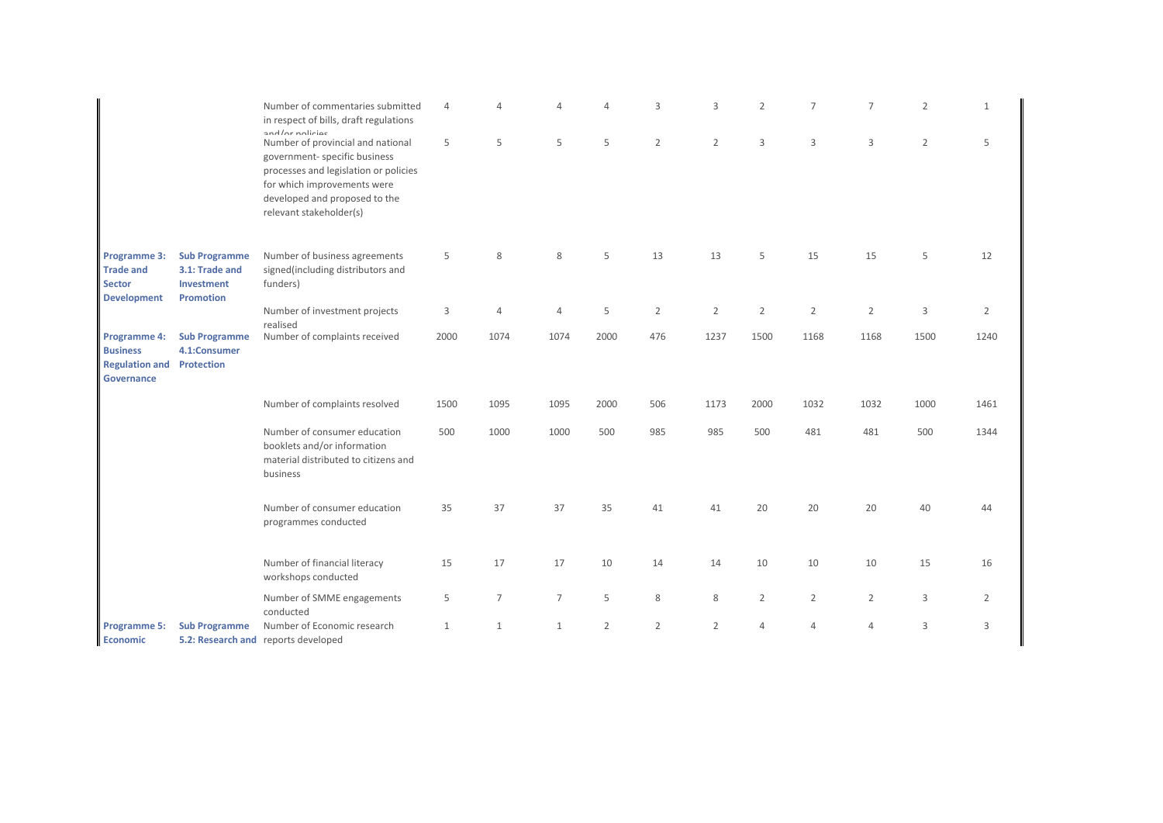|                                                                                                           |                                                      | Number of commentaries submitted<br>in respect of bills, draft regulations                                                                                                                                                | $\overline{4}$ |              | Δ              | $\Delta$       | 3              | 3              | $\overline{2}$ | $\overline{7}$ | $\overline{7}$ | $\overline{2}$ | $\mathbf{1}$ |
|-----------------------------------------------------------------------------------------------------------|------------------------------------------------------|---------------------------------------------------------------------------------------------------------------------------------------------------------------------------------------------------------------------------|----------------|--------------|----------------|----------------|----------------|----------------|----------------|----------------|----------------|----------------|--------------|
|                                                                                                           |                                                      | and/or nolicies<br>Number of provincial and national<br>government- specific business<br>processes and legislation or policies<br>for which improvements were<br>developed and proposed to the<br>relevant stakeholder(s) | 5              | 5            | 5              | 5              | $\overline{2}$ | $\overline{2}$ | 3              | 3              | 3              | $\overline{2}$ | 5            |
| Programme 3:<br><b>Trade and</b><br><b>Sector</b><br>Investment<br><b>Development</b><br><b>Promotion</b> | <b>Sub Programme</b><br>3.1: Trade and               | Number of business agreements<br>signed(including distributors and<br>funders)                                                                                                                                            | 5              | 8            | 8              | 5              | 13             | 13             | 5              | 15             | 15             | 5              | 12           |
|                                                                                                           |                                                      | Number of investment projects                                                                                                                                                                                             | 3              | 4            | $\overline{4}$ | 5              | $\overline{2}$ | $\overline{2}$ | $\overline{2}$ | $\overline{2}$ | $\overline{2}$ | 3              | 2            |
| Programme 4:<br><b>Business</b><br><b>Regulation and</b><br><b>Governance</b>                             | <b>Sub Programme</b><br>4.1:Consumer<br>Protection   | realised<br>Number of complaints received                                                                                                                                                                                 | 2000           | 1074         | 1074           | 2000           | 476            | 1237           | 1500           | 1168           | 1168           | 1500           | 1240         |
|                                                                                                           |                                                      | Number of complaints resolved                                                                                                                                                                                             | 1500           | 1095         | 1095           | 2000           | 506            | 1173           | 2000           | 1032           | 1032           | 1000           | 1461         |
|                                                                                                           |                                                      | Number of consumer education<br>booklets and/or information<br>material distributed to citizens and<br>business                                                                                                           | 500            | 1000         | 1000           | 500            | 985            | 985            | 500            | 481            | 481            | 500            | 1344         |
|                                                                                                           | Number of consumer education<br>programmes conducted | 35                                                                                                                                                                                                                        | 37             | 37           | 35             | 41             | 41             | 20             | 20             | 20             | 40             | 44             |              |
|                                                                                                           |                                                      | Number of financial literacy<br>workshops conducted                                                                                                                                                                       | 15             | 17           | 17             | 10             | 14             | 14             | 10             | 10             | 10             | 15             | 16           |
|                                                                                                           |                                                      | Number of SMME engagements<br>conducted                                                                                                                                                                                   | 5              | 7            | $\overline{7}$ | 5              | 8              | 8              | $\overline{2}$ | $\overline{2}$ | $\overline{2}$ | 3              | 2            |
| <b>Programme 5:</b><br>Economic                                                                           | <b>Sub Programme</b>                                 | Number of Economic research<br>5.2: Research and reports developed                                                                                                                                                        | $\mathbf{1}$   | $\mathbf{1}$ | $\mathbf{1}$   | $\overline{2}$ | $\overline{2}$ | $\overline{2}$ | $\overline{4}$ | $\overline{4}$ | $\overline{4}$ | 3              | 3            |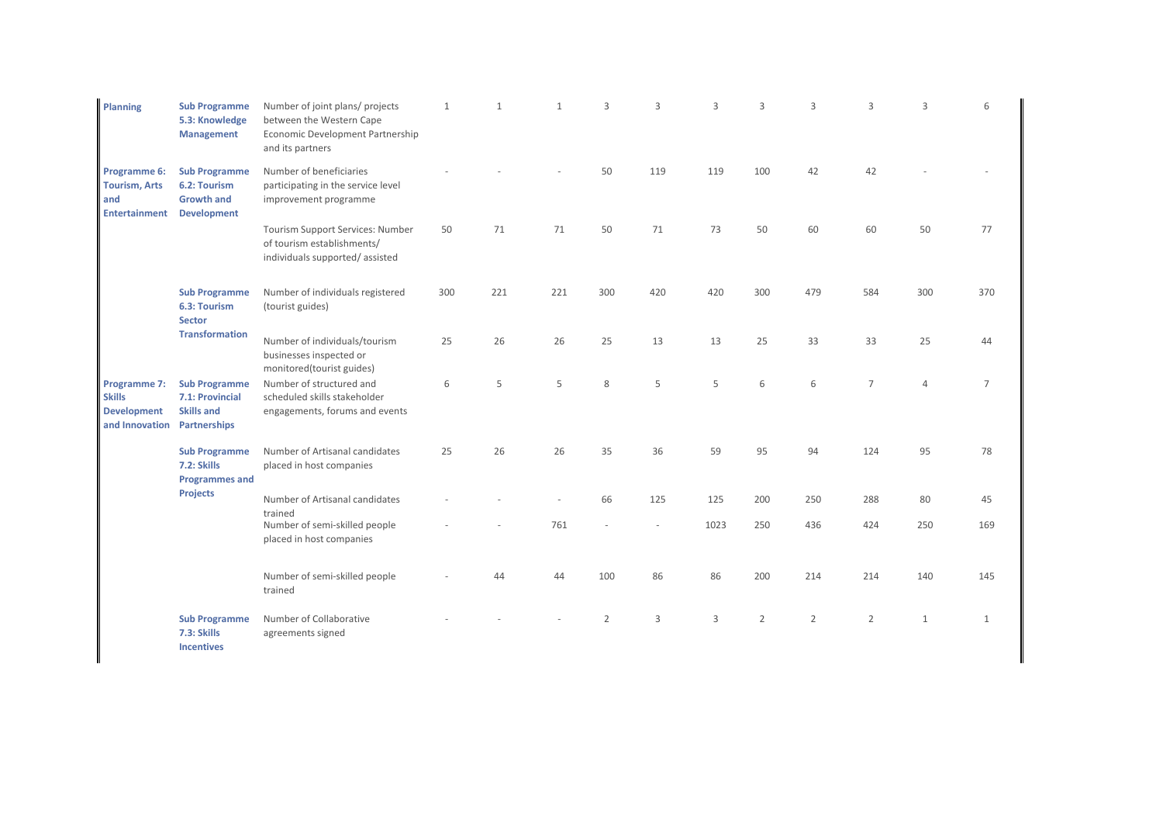| <b>Planning</b>                                                       | <b>Sub Programme</b><br>5.3: Knowledge<br><b>Management</b>                     | Number of joint plans/ projects<br>between the Western Cape<br>Economic Development Partnership<br>and its partners | 1   | $\mathbf{1}$ |     | $\overline{\mathcal{L}}$ | ζ   | 3    | 3              | 3              | $\overline{\mathcal{L}}$ | 3              | 6            |
|-----------------------------------------------------------------------|---------------------------------------------------------------------------------|---------------------------------------------------------------------------------------------------------------------|-----|--------------|-----|--------------------------|-----|------|----------------|----------------|--------------------------|----------------|--------------|
| Programme 6:<br><b>Tourism, Arts</b><br>and<br><b>Entertainment</b>   | <b>Sub Programme</b><br>6.2: Tourism<br><b>Growth and</b><br><b>Development</b> | Number of beneficiaries<br>participating in the service level<br>improvement programme                              |     |              |     | 50                       | 119 | 119  | 100            | 42             | 42                       |                |              |
|                                                                       |                                                                                 | Tourism Support Services: Number<br>of tourism establishments/<br>individuals supported/assisted                    | 50  | 71           | 71  | 50                       | 71  | 73   | 50             | 60             | 60                       | 50             | 77           |
|                                                                       | <b>Sub Programme</b><br>6.3: Tourism<br><b>Sector</b>                           | Number of individuals registered<br>(tourist guides)                                                                | 300 | 221          | 221 | 300                      | 420 | 420  | 300            | 479            | 584                      | 300            | 370          |
|                                                                       | <b>Transformation</b>                                                           | Number of individuals/tourism<br>businesses inspected or<br>monitored(tourist guides)                               | 25  | 26           | 26  | 25                       | 13  | 13   | 25             | 33             | 33                       | 25             | 44           |
| Programme 7:<br><b>Skills</b><br><b>Development</b><br>and Innovation | <b>Sub Programme</b><br>7.1: Provincial<br><b>Skills and</b><br>Partnerships    | Number of structured and<br>scheduled skills stakeholder<br>engagements, forums and events                          | 6   | 5            | 5   | 8                        | 5   | 5    | 6              | 6              | $\overline{7}$           | $\overline{4}$ | 7            |
|                                                                       | <b>Sub Programme</b><br>7.2: Skills<br><b>Programmes and</b>                    | Number of Artisanal candidates<br>placed in host companies                                                          | 25  | 26           | 26  | 35                       | 36  | 59   | 95             | 94             | 124                      | 95             | 78           |
|                                                                       | <b>Projects</b>                                                                 | Number of Artisanal candidates                                                                                      |     |              |     | 66                       | 125 | 125  | 200            | 250            | 288                      | 80             | 45           |
|                                                                       |                                                                                 | trained<br>Number of semi-skilled people<br>placed in host companies                                                |     |              | 761 |                          |     | 1023 | 250            | 436            | 424                      | 250            | 169          |
|                                                                       |                                                                                 | Number of semi-skilled people<br>trained                                                                            |     | 44           | 44  | 100                      | 86  | 86   | 200            | 214            | 214                      | 140            | 145          |
|                                                                       | <b>Sub Programme</b><br>7.3: Skills<br><b>Incentives</b>                        | Number of Collaborative<br>agreements signed                                                                        |     |              |     | 2                        | 3   | 3    | $\overline{2}$ | $\overline{2}$ | $\overline{2}$           | $\mathbf{1}$   | $\mathbf{1}$ |